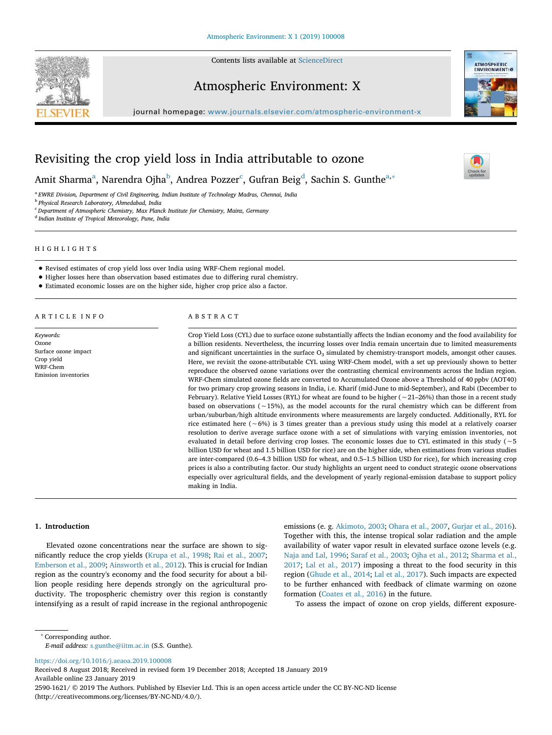Contents lists available at ScienceDirect



Atmospheric Environment: X





 $\sum_{\text{the}}$ 

# Revisiting the crop yield loss in India attributable to ozone

Amit Sharma<sup>a</sup>, Narendra Ojha<sup>b</sup>, Andrea Pozzer<sup>c</sup>, Gufran Beig<sup>d</sup>, Sachin S. Gunthe<sup>a,</sup>\*

a *EWRE Division, Department of Civil Engineering, Indian Institute of Technology Madras, Chennai, India*

b *Physical Research Laboratory, Ahmedabad, India*

<sup>c</sup> *Department of Atmospheric Chemistry, Max Planck Institute for Chemistry, Mainz, Germany*

d *Indian Institute of Tropical Meteorology, Pune, India*

HIGHLIGHTS

- Revised estimates of crop yield loss over India using WRF-Chem regional model.
- Higher losses here than observation based estimates due to differing rural chemistry.
- Estimated economic losses are on the higher side, higher crop price also a factor.

ARTICLE INFO

*Keywords:* Ozone Surface ozone impact Crop yield WRF-Chem Emission inventories

ABSTRACT

Crop Yield Loss (CYL) due to surface ozone substantially affects the Indian economy and the food availability for a billion residents. Nevertheless, the incurring losses over India remain uncertain due to limited measurements and significant uncertainties in the surface  $O_3$  simulated by chemistry-transport models, amongst other causes. Here, we revisit the ozone-attributable CYL using WRF-Chem model, with a set up previously shown to better reproduce the observed ozone variations over the contrasting chemical environments across the Indian region. WRF-Chem simulated ozone fields are converted to Accumulated Ozone above a Threshold of 40 ppbv (AOT40) for two primary crop growing seasons in India, i.e. Kharif (mid-June to mid-September), and Rabi (December to February). Relative Yield Losses (RYL) for wheat are found to be higher (∼21–26%) than those in a recent study based on observations (∼15%), as the model accounts for the rural chemistry which can be different from urban/suburban/high altitude environments where measurements are largely conducted. Additionally, RYL for rice estimated here (∼6%) is 3 times greater than a previous study using this model at a relatively coarser resolution to derive average surface ozone with a set of simulations with varying emission inventories, not evaluated in detail before deriving crop losses. The economic losses due to CYL estimated in this study (∼5 billion USD for wheat and 1.5 billion USD for rice) are on the higher side, when estimations from various studies are inter-compared (0.6–4.3 billion USD for wheat, and 0.5–1.5 billion USD for rice), for which increasing crop prices is also a contributing factor. Our study highlights an urgent need to conduct strategic ozone observations especially over agricultural fields, and the development of yearly regional-emission database to support policy making in India.

#### 1. Introduction

Elevated ozone concentrations near the surface are shown to significantly reduce the crop yields (Krupa et al., 1998; Rai et al., 2007; Emberson et al., 2009; Ainsworth et al., 2012). This is crucial for Indian region as the country's economy and the food security for about a billion people residing here depends strongly on the agricultural productivity. The tropospheric chemistry over this region is constantly intensifying as a result of rapid increase in the regional anthropogenic

emissions (e. g. Akimoto, 2003; Ohara et al., 2007, Gurjar et al., 2016). Together with this, the intense tropical solar radiation and the ample availability of water vapor result in elevated surface ozone levels (e.g. Naja and Lal, 1996; Saraf et al., 2003; Ojha et al., 2012; Sharma et al., 2017; Lal et al., 2017) imposing a threat to the food security in this region (Ghude et al., 2014; Lal et al., 2017). Such impacts are expected to be further enhanced with feedback of climate warming on ozone formation (Coates et al., 2016) in the future.

To assess the impact of ozone on crop yields, different exposure-

∗ Corresponding author.

https://doi.org/10.1016/j.aeaoa.2019.100008

Received 8 August 2018; Received in revised form 19 December 2018; Accepted 18 January 2019 Available online 23 January 2019 2590-1621/ © 2019 The Authors. Published by Elsevier Ltd. This is an open access article under the CC BY-NC-ND license (http://creativecommons.org/licenses/BY-NC-ND/4.0/).

*E-mail address:* s.gunthe@iitm.ac.in (S.S. Gunthe).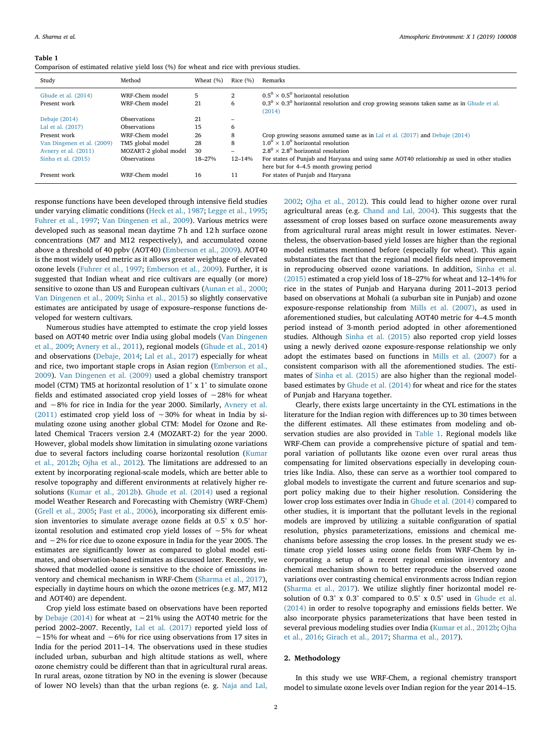#### Table 1

| Comparison of estimated relative yield loss (%) for wheat and rice with previous studies. |  |  |
|-------------------------------------------------------------------------------------------|--|--|
|-------------------------------------------------------------------------------------------|--|--|

| Study                               | Method                                     | Wheat $(\%)$ | Rice $(\% )$             | Remarks                                                                                                                                                     |
|-------------------------------------|--------------------------------------------|--------------|--------------------------|-------------------------------------------------------------------------------------------------------------------------------------------------------------|
| Ghude et al. (2014)<br>Present work | WRF-Chem model<br>WRF-Chem model           | 5<br>21      | $\mathbf{2}$<br>6        | $0.5^0 \times 0.5^0$ horizontal resolution<br>$0.3^{\circ} \times 0.3^{\circ}$ horizontal resolution and crop growing seasons taken same as in Ghude et al. |
| Debaje (2014)<br>Lal et al. (2017)  | <b>Observations</b><br><b>Observations</b> | 21<br>15     | -<br>6                   | (2014)                                                                                                                                                      |
| Present work                        | WRF-Chem model                             | 26           | 8                        | Crop growing seasons assumed same as in Lal et al. $(2017)$ and Debaje $(2014)$                                                                             |
| Van Dingenen et al. (2009)          | TM5 global model                           | 28           | 8                        | $1.0^0 \times 1.0^0$ horizontal resolution                                                                                                                  |
| Avnery et al. (2011)                | MOZART-2 global model                      | 30           | $\overline{\phantom{0}}$ | $2.8^0 \times 2.8^0$ horizontal resolution                                                                                                                  |
| Sinha et al. (2015)                 | <b>Observations</b>                        | 18-27%       | $12 - 14%$               | For states of Punjab and Haryana and using same AOT40 relationship as used in other studies                                                                 |
|                                     |                                            |              |                          | here but for 4–4.5 month growing period                                                                                                                     |
| Present work                        | WRF-Chem model                             | 16           | 11                       | For states of Punjab and Haryana                                                                                                                            |

response functions have been developed through intensive field studies under varying climatic conditions (Heck et al., 1987; Legge et al., 1995; Fuhrer et al., 1997; Van Dingenen et al., 2009). Various metrics were developed such as seasonal mean daytime 7 h and 12 h surface ozone concentrations (M7 and M12 respectively), and accumulated ozone above a threshold of 40 ppbv (AOT40) (Emberson et al., 2009). AOT40 is the most widely used metric as it allows greater weightage of elevated ozone levels (Fuhrer et al., 1997; Emberson et al., 2009). Further, it is suggested that Indian wheat and rice cultivars are equally (or more) sensitive to ozone than US and European cultivars (Aunan et al., 2000; Van Dingenen et al., 2009; Sinha et al., 2015) so slightly conservative estimates are anticipated by usage of exposure–response functions developed for western cultivars.

Numerous studies have attempted to estimate the crop yield losses based on AOT40 metric over India using global models (Van Dingenen et al., 2009; Avnery et al., 2011), regional models (Ghude et al., 2014) and observations (Debaje, 2014; Lal et al., 2017) especially for wheat and rice, two important staple crops in Asian region (Emberson et al., 2009). Van Dingenen et al. (2009) used a global chemistry transport model (CTM) TM5 at horizontal resolution of 1° x 1° to simulate ozone fields and estimated associated crop yield losses of ∼28% for wheat and ∼8% for rice in India for the year 2000. Similarly, Avnery et al. (2011) estimated crop yield loss of ∼30% for wheat in India by simulating ozone using another global CTM: Model for Ozone and Related Chemical Tracers version 2.4 (MOZART-2) for the year 2000. However, global models show limitation in simulating ozone variations due to several factors including coarse horizontal resolution (Kumar et al., 2012b; Ojha et al., 2012). The limitations are addressed to an extent by incorporating regional-scale models, which are better able to resolve topography and different environments at relatively higher resolutions (Kumar et al., 2012b). Ghude et al. (2014) used a regional model Weather Research and Forecasting with Chemistry (WRF-Chem) (Grell et al., 2005; Fast et al., 2006), incorporating six different emission inventories to simulate average ozone fields at 0.5° x 0.5° horizontal resolution and estimated crop yield losses of ∼5% for wheat and ∼2% for rice due to ozone exposure in India for the year 2005. The estimates are significantly lower as compared to global model estimates, and observation-based estimates as discussed later. Recently, we showed that modelled ozone is sensitive to the choice of emissions inventory and chemical mechanism in WRF-Chem (Sharma et al., 2017), especially in daytime hours on which the ozone metrices (e.g. M7, M12 and AOT40) are dependent.

Crop yield loss estimate based on observations have been reported by Debaje (2014) for wheat at ∼21% using the AOT40 metric for the period 2002–2007. Recently, Lal et al. (2017) reported yield loss of ∼15% for wheat and ∼6% for rice using observations from 17 sites in India for the period 2011–14. The observations used in these studies included urban, suburban and high altitude stations as well, where ozone chemistry could be different than that in agricultural rural areas. In rural areas, ozone titration by NO in the evening is slower (because of lower NO levels) than that the urban regions (e. g. Naja and Lal,

2002; Ojha et al., 2012). This could lead to higher ozone over rural agricultural areas (e.g. Chand and Lal, 2004). This suggests that the assessment of crop losses based on surface ozone measurements away from agricultural rural areas might result in lower estimates. Nevertheless, the observation-based yield losses are higher than the regional model estimates mentioned before (especially for wheat). This again substantiates the fact that the regional model fields need improvement in reproducing observed ozone variations. In addition, Sinha et al. (2015) estimated a crop yield loss of 18–27% for wheat and 12–14% for rice in the states of Punjab and Haryana during 2011–2013 period based on observations at Mohali (a suburban site in Punjab) and ozone exposure-response relationship from Mills et al. (2007), as used in aforementioned studies, but calculating AOT40 metric for 4–4.5 month period instead of 3-month period adopted in other aforementioned studies. Although Sinha et al. (2015) also reported crop yield losses using a newly derived ozone exposure-response relationship we only adopt the estimates based on functions in Mills et al. (2007) for a consistent comparison with all the aforementioned studies. The estimates of Sinha et al. (2015) are also higher than the regional modelbased estimates by Ghude et al. (2014) for wheat and rice for the states of Punjab and Haryana together.

Clearly, there exists large uncertainty in the CYL estimations in the literature for the Indian region with differences up to 30 times between the different estimates. All these estimates from modeling and observation studies are also provided in Table 1. Regional models like WRF-Chem can provide a comprehensive picture of spatial and temporal variation of pollutants like ozone even over rural areas thus compensating for limited observations especially in developing countries like India. Also, these can serve as a worthier tool compared to global models to investigate the current and future scenarios and support policy making due to their higher resolution. Considering the lower crop loss estimates over India in Ghude et al. (2014) compared to other studies, it is important that the pollutant levels in the regional models are improved by utilizing a suitable configuration of spatial resolution, physics parameterizations, emissions and chemical mechanisms before assessing the crop losses. In the present study we estimate crop yield losses using ozone fields from WRF-Chem by incorporating a setup of a recent regional emission inventory and chemical mechanism shown to better reproduce the observed ozone variations over contrasting chemical environments across Indian region (Sharma et al., 2017). We utilize slightly finer horizontal model resolution of 0.3° x 0.3° compared to 0.5° x 0.5° used in Ghude et al. (2014) in order to resolve topography and emissions fields better. We also incorporate physics parameterizations that have been tested in several previous modeling studies over India (Kumar et al., 2012b; Ojha et al., 2016; Girach et al., 2017; Sharma et al., 2017).

## 2. Methodology

In this study we use WRF-Chem, a regional chemistry transport model to simulate ozone levels over Indian region for the year 2014–15.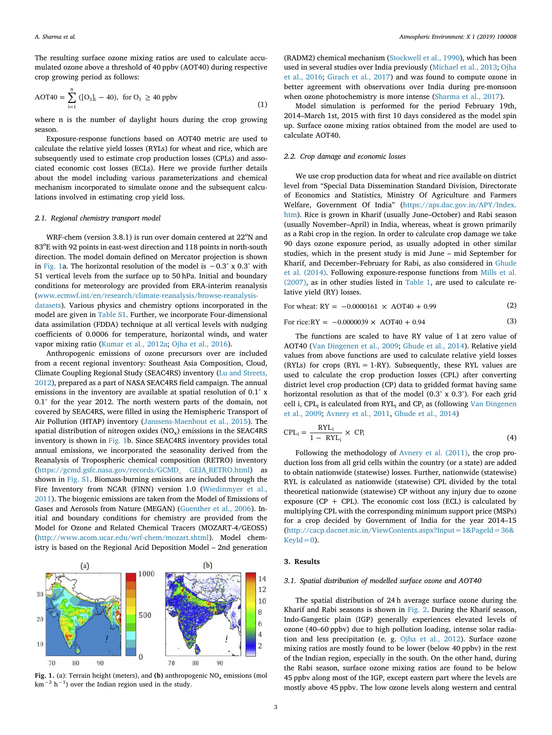The resulting surface ozone mixing ratios are used to calculate accumulated ozone above a threshold of 40 ppbv (AOT40) during respective crop growing period as follows:

$$
AOT40 = \sum_{i=1}^{n} ([O_3]_i - 40), \text{ for } O_3 \ge 40 \text{ ppbv}
$$
 (1)

where n is the number of daylight hours during the crop growing season.

Exposure-response functions based on AOT40 metric are used to calculate the relative yield losses (RYLs) for wheat and rice, which are subsequently used to estimate crop production losses (CPLs) and associated economic cost losses (ECLs). Here we provide further details about the model including various parameterizations and chemical mechanism incorporated to simulate ozone and the subsequent calculations involved in estimating crop yield loss.

## *2.1. Regional chemistry transport model*

WRF-chem (version 3.8.1) is run over domain centered at  $22^{\circ}$ N and 83<sup>o</sup>E with 92 points in east-west direction and 118 points in north-south direction. The model domain defined on Mercator projection is shown in Fig. 1a. The horizontal resolution of the model is ∼0.3° x 0.3° with 51 vertical levels from the surface up to 50 hPa. Initial and boundary conditions for meteorology are provided from ERA-interim reanalysis (www.ecmwf.int/en/research/climate-reanalysis/browse-reanalysisdatasets). Various physics and chemistry options incorporated in the model are given in Table S1. Further, we incorporate Four-dimensional data assimilation (FDDA) technique at all vertical levels with nudging coefficients of 0.0006 for temperature, horizontal winds, and water vapor mixing ratio (Kumar et al., 2012a; Ojha et al., 2016).

Anthropogenic emissions of ozone precursors over are included from a recent regional inventory: Southeast Asia Composition, Cloud, Climate Coupling Regional Study (SEAC4RS) inventory (Lu and Streets, 2012), prepared as a part of NASA SEAC4RS field campaign. The annual emissions in the inventory are available at spatial resolution of 0.1° x 0.1° for the year 2012. The north western parts of the domain, not covered by SEAC4RS, were filled in using the Hemispheric Transport of Air Pollution (HTAP) inventory (Janssens-Maenhout et al., 2015). The spatial distribution of nitrogen oxides  $(NO<sub>x</sub>)$  emissions in the SEAC4RS inventory is shown in Fig. 1b. Since SEAC4RS inventory provides total annual emissions, we incorporated the seasonality derived from the Reanalysis of Tropospheric chemical composition (RETRO) inventory (https://gcmd.gsfc.nasa.gov/records/GCMD\_ GEIA\_RETRO.html) as shown in Fig. S1. Biomass-burning emissions are included through the Fire Inventory from NCAR (FINN) version 1.0 (Wiedinmyer et al., 2011). The biogenic emissions are taken from the Model of Emissions of Gases and Aerosols from Nature (MEGAN) (Guenther et al., 2006). Initial and boundary conditions for chemistry are provided from the Model for Ozone and Related Chemical Tracers (MOZART-4/GEOS5) (http://www.acom.ucar.edu/wrf-chem/mozart.shtml). Model chemistry is based on the Regional Acid Deposition Model – 2nd generation



(RADM2) chemical mechanism (Stockwell et al., 1990), which has been used in several studies over India previously (Michael et al., 2013; Ojha et al., 2016; Girach et al., 2017) and was found to compute ozone in better agreement with observations over India during pre-monsoon when ozone photochemistry is more intense (Sharma et al., 2017).

Model simulation is performed for the period February 19th, 2014–March 1st, 2015 with first 10 days considered as the model spin up. Surface ozone mixing ratios obtained from the model are used to calculate AOT40.

### *2.2. Crop damage and economic losses*

We use crop production data for wheat and rice available on district level from "Special Data Dissemination Standard Division, Directorate of Economics and Statistics, Ministry Of Agriculture and Farmers Welfare, Government Of India" (https://aps.dac.gov.in/APY/Index. htm). Rice is grown in Kharif (usually June–October) and Rabi season (usually November–April) in India, whereas, wheat is grown primarily as a Rabi crop in the region. In order to calculate crop damage we take 90 days ozone exposure period, as usually adopted in other similar studies, which in the present study is mid June – mid September for Kharif, and December–February for Rabi, as also considered in Ghude et al. (2014). Following exposure-response functions from Mills et al. (2007), as in other studies listed in Table 1, are used to calculate relative yield (RY) losses.

For wheat: 
$$
RY = -0.0000161 \times AOT40 + 0.99
$$
 (2)

For rice:RY = 
$$
-0.0000039 \times \text{AOT40} + 0.94
$$
 (3)

The functions are scaled to have RY value of 1 at zero value of AOT40 (Van Dingenen et al., 2009; Ghude et al., 2014). Relative yield values from above functions are used to calculate relative yield losses (RYLs) for crops (RYL = 1-RY). Subsequently, these RYL values are used to calculate the crop production losses (CPL) after converting district level crop production (CP) data to gridded format having same horizontal resolution as that of the model (0.3° x 0.3°). For each grid cell i, CPL<sub>i</sub> is calculated from RYL<sub>i</sub> and CP<sub>i</sub> as (following Van Dingenen et al., 2009; Avnery et al., 2011, Ghude et al., 2014)

$$
CPL_i = \frac{RYL_i}{1 - RYL_i} \times CP_i
$$
\n(4)

Following the methodology of Avnery et al. (2011), the crop production loss from all grid cells within the country (or a state) are added to obtain nationwide (statewise) losses. Further, nationwide (statewise) RYL is calculated as nationwide (statewise) CPL divided by the total theoretical nationwide (statewise) CP without any injury due to ozone exposure (CP + CPL). The economic cost loss (ECL) is calculated by multiplying CPL with the corresponding minimum support price (MSPs) for a crop decided by Government of India for the year 2014–15 (http://cacp.dacnet.nic.in/ViewContents.aspx?Input=1&PageId=36&  $KevId = 0$ ).

## 3. Results

#### *3.1. Spatial distribution of modelled surface ozone and AOT40*

The spatial distribution of 24 h average surface ozone during the Kharif and Rabi seasons is shown in Fig. 2. During the Kharif season, Indo-Gangetic plain (IGP) generally experiences elevated levels of ozone (40–60 ppbv) due to high pollution loading, intense solar radiation and less precipitation (e. g. Ojha et al., 2012). Surface ozone mixing ratios are mostly found to be lower (below 40 ppbv) in the rest of the Indian region, especially in the south. On the other hand, during the Rabi season, surface ozone mixing ratios are found to be below 45 ppbv along most of the IGP, except eastern part where the levels are mostly above 45 ppbv. The low ozone levels along western and central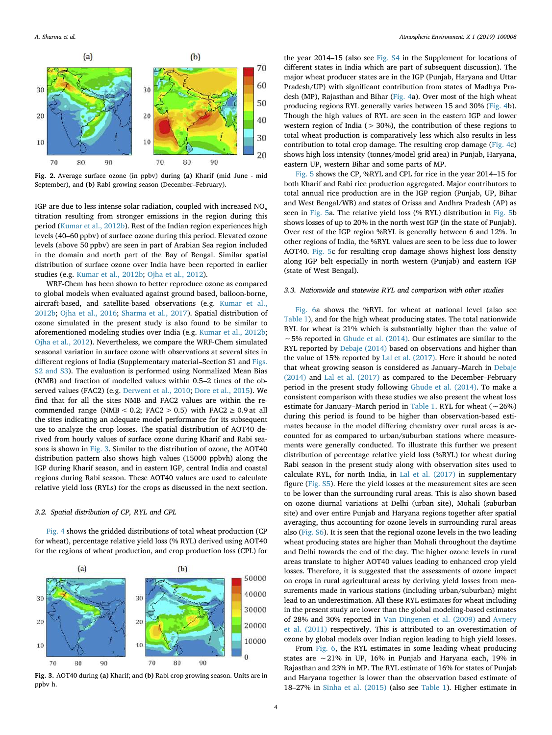

Fig. 2. Average surface ozone (in ppbv) during (a) Kharif (mid June - mid September), and (b) Rabi growing season (December–February).

IGP are due to less intense solar radiation, coupled with increased  $NO<sub>x</sub>$ titration resulting from stronger emissions in the region during this period (Kumar et al., 2012b). Rest of the Indian region experiences high levels (40–60 ppbv) of surface ozone during this period. Elevated ozone levels (above 50 ppbv) are seen in part of Arabian Sea region included in the domain and north part of the Bay of Bengal. Similar spatial distribution of surface ozone over India have been reported in earlier studies (e.g. Kumar et al., 2012b; Ojha et al., 2012).

WRF-Chem has been shown to better reproduce ozone as compared to global models when evaluated against ground based, balloon-borne, aircraft-based, and satellite-based observations (e.g. Kumar et al., 2012b; Ojha et al., 2016; Sharma et al., 2017). Spatial distribution of ozone simulated in the present study is also found to be similar to aforementioned modeling studies over India (e.g. Kumar et al., 2012b; Ojha et al., 2012). Nevertheless, we compare the WRF-Chem simulated seasonal variation in surface ozone with observations at several sites in different regions of India (Supplementary material–Section S1 and Figs. S2 and S3). The evaluation is performed using Normalized Mean Bias (NMB) and fraction of modelled values within 0.5–2 times of the observed values (FAC2) (e.g. Derwent et al., 2010; Dore et al., 2015). We find that for all the sites NMB and FAC2 values are within the recommended range (NMB <  $0.2$ ; FAC2 > 0.5) with FAC2  $\geq 0.9$  at all the sites indicating an adequate model performance for its subsequent use to analyze the crop losses. The spatial distribution of AOT40 derived from hourly values of surface ozone during Kharif and Rabi seasons is shown in Fig. 3. Similar to the distribution of ozone, the AOT40 distribution pattern also shows high values (15000 ppbvh) along the IGP during Kharif season, and in eastern IGP, central India and coastal regions during Rabi season. These AOT40 values are used to calculate relative yield loss (RYLs) for the crops as discussed in the next section.

## *3.2. Spatial distribution of CP, RYL and CPL*

Fig. 4 shows the gridded distributions of total wheat production (CP for wheat), percentage relative yield loss (% RYL) derived using AOT40 for the regions of wheat production, and crop production loss (CPL) for



Fig. 3. AOT40 during (a) Kharif; and (b) Rabi crop growing season. Units are in ppbv h.

4

the year 2014–15 (also see Fig. S4 in the Supplement for locations of different states in India which are part of subsequent discussion). The major wheat producer states are in the IGP (Punjab, Haryana and Uttar Pradesh/UP) with significant contribution from states of Madhya Pradesh (MP), Rajasthan and Bihar (Fig. 4a). Over most of the high wheat producing regions RYL generally varies between 15 and 30% (Fig. 4b). Though the high values of RYL are seen in the eastern IGP and lower western region of India ( $> 30\%$ ), the contribution of these regions to total wheat production is comparatively less which also results in less contribution to total crop damage. The resulting crop damage (Fig. 4c) shows high loss intensity (tonnes/model grid area) in Punjab, Haryana, eastern UP, western Bihar and some parts of MP.

Fig. 5 shows the CP, %RYL and CPL for rice in the year 2014–15 for both Kharif and Rabi rice production aggregated. Major contributors to total annual rice production are in the IGP region (Punjab, UP, Bihar and West Bengal/WB) and states of Orissa and Andhra Pradesh (AP) as seen in Fig. 5a. The relative yield loss (% RYL) distribution in Fig. 5b shows losses of up to 20% in the north west IGP (in the state of Punjab). Over rest of the IGP region %RYL is generally between 6 and 12%. In other regions of India, the %RYL values are seen to be less due to lower AOT40. Fig. 5c for resulting crop damage shows highest loss density along IGP belt especially in north western (Punjab) and eastern IGP (state of West Bengal).

## *3.3. Nationwide and statewise RYL and comparison with other studies*

Fig. 6a shows the %RYL for wheat at national level (also see Table 1), and for the high wheat producing states. The total nationwide RYL for wheat is 21% which is substantially higher than the value of ∼5% reported in Ghude et al. (2014). Our estimates are similar to the RYL reported by Debaje (2014) based on observations and higher than the value of 15% reported by Lal et al. (2017). Here it should be noted that wheat growing season is considered as January–March in Debaje (2014) and Lal et al. (2017) as compared to the December–February period in the present study following Ghude et al. (2014). To make a consistent comparison with these studies we also present the wheat loss estimate for January–March period in Table 1. RYL for wheat (∼26%) during this period is found to be higher than observation-based estimates because in the model differing chemistry over rural areas is accounted for as compared to urban/suburban stations where measurements were generally conducted. To illustrate this further we present distribution of percentage relative yield loss (%RYL) for wheat during Rabi season in the present study along with observation sites used to calculate RYL, for north India, in Lal et al. (2017) in supplementary figure (Fig. S5). Here the yield losses at the measurement sites are seen to be lower than the surrounding rural areas. This is also shown based on ozone diurnal variations at Delhi (urban site), Mohali (suburban site) and over entire Punjab and Haryana regions together after spatial averaging, thus accounting for ozone levels in surrounding rural areas also (Fig. S6). It is seen that the regional ozone levels in the two leading wheat producing states are higher than Mohali throughout the daytime and Delhi towards the end of the day. The higher ozone levels in rural areas translate to higher AOT40 values leading to enhanced crop yield losses. Therefore, it is suggested that the assessments of ozone impact on crops in rural agricultural areas by deriving yield losses from measurements made in various stations (including urban/suburban) might lead to an underestimation. All these RYL estimates for wheat including in the present study are lower than the global modeling-based estimates of 28% and 30% reported in Van Dingenen et al. (2009) and Avnery et al. (2011) respectively. This is attributed to an overestimation of ozone by global models over Indian region leading to high yield losses.

From Fig. 6, the RYL estimates in some leading wheat producing states are ∼21% in UP, 16% in Punjab and Haryana each, 19% in Rajasthan and 23% in MP. The RYL estimate of 16% for states of Punjab and Haryana together is lower than the observation based estimate of 18–27% in Sinha et al. (2015) (also see Table 1). Higher estimate in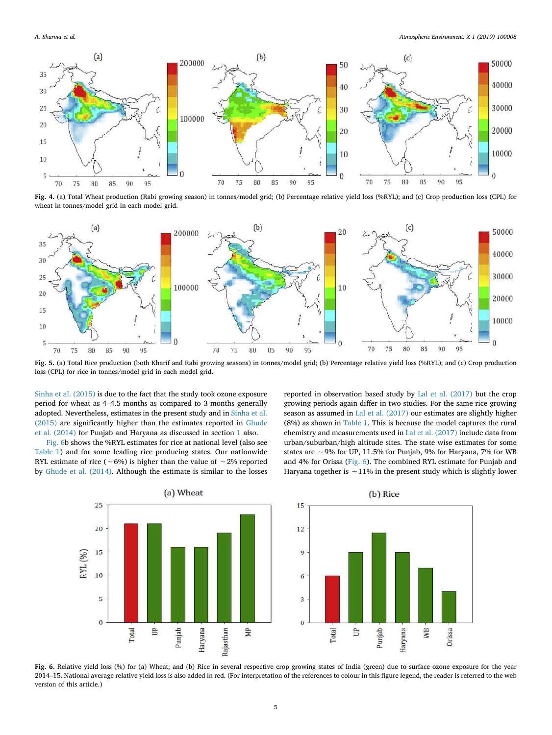

Fig. 4. (a) Total Wheat production (Rabi growing season) in tonnes/model grid; (b) Percentage relative yield loss (%RYL); and (c) Crop production loss (CPL) for wheat in tonnes/model grid in each model grid.



Fig. 5. (a) Total Rice production (both Kharif and Rabi growing seasons) in tonnes/model grid; (b) Percentage relative yield loss (%RYL); and (c) Crop production loss (CPL) for rice in tonnes/model grid in each model grid.

Sinha et al. (2015) is due to the fact that the study took ozone exposure period for wheat as 4–4.5 months as compared to 3 months generally adopted. Nevertheless, estimates in the present study and in Sinha et al. (2015) are significantly higher than the estimates reported in Ghude et al. (2014) for Punjab and Haryana as discussed in section 1 also.

Fig. 6b shows the %RYL estimates for rice at national level (also see Table 1) and for some leading rice producing states. Our nationwide RYL estimate of rice (∼6%) is higher than the value of ∼2% reported by Ghude et al. (2014). Although the estimate is similar to the losses reported in observation based study by Lal et al. (2017) but the crop growing periods again differ in two studies. For the same rice growing season as assumed in Lal et al. (2017) our estimates are slightly higher (8%) as shown in Table 1. This is because the model captures the rural chemistry and measurements used in Lal et al. (2017) include data from urban/suburban/high altitude sites. The state wise estimates for some states are ∼9% for UP, 11.5% for Punjab, 9% for Haryana, 7% for WB and 4% for Orissa (Fig. 6). The combined RYL estimate for Punjab and Haryana together is ∼11% in the present study which is slightly lower





Fig. 6. Relative yield loss (%) for (a) Wheat; and (b) Rice in several respective crop growing states of India (green) due to surface ozone exposure for the year 2014–15. National average relative yield loss is also added in red. (For interpretation of the references to colour in this figure legend, the reader is referred to the web version of this article.)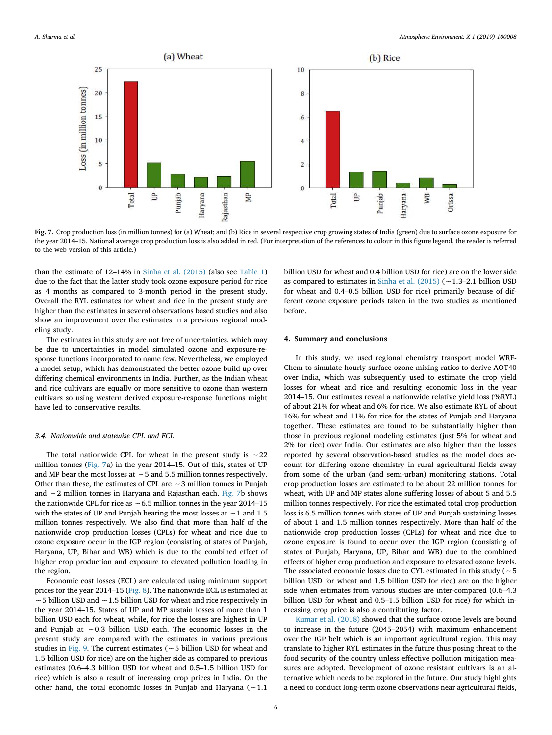

Fig. 7. Crop production loss (in million tonnes) for (a) Wheat; and (b) Rice in several respective crop growing states of India (green) due to surface ozone exposure for the year 2014–15. National average crop production loss is also added in red. (For interpretation of the references to colour in this figure legend, the reader is referred to the web version of this article.)

than the estimate of 12–14% in Sinha et al. (2015) (also see Table 1) due to the fact that the latter study took ozone exposure period for rice as 4 months as compared to 3-month period in the present study. Overall the RYL estimates for wheat and rice in the present study are higher than the estimates in several observations based studies and also show an improvement over the estimates in a previous regional modeling study.

The estimates in this study are not free of uncertainties, which may be due to uncertainties in model simulated ozone and exposure-response functions incorporated to name few. Nevertheless, we employed a model setup, which has demonstrated the better ozone build up over differing chemical environments in India. Further, as the Indian wheat and rice cultivars are equally or more sensitive to ozone than western cultivars so using western derived exposure-response functions might have led to conservative results.

#### *3.4. Nationwide and statewise CPL and ECL*

The total nationwide CPL for wheat in the present study is ∼22 million tonnes (Fig. 7a) in the year 2014–15. Out of this, states of UP and MP bear the most losses at ∼5 and 5.5 million tonnes respectively. Other than these, the estimates of CPL are ∼3 million tonnes in Punjab and ∼2 million tonnes in Haryana and Rajasthan each. Fig. 7b shows the nationwide CPL for rice as ∼6.5 million tonnes in the year 2014–15 with the states of UP and Punjab bearing the most losses at ∼1 and 1.5 million tonnes respectively. We also find that more than half of the nationwide crop production losses (CPLs) for wheat and rice due to ozone exposure occur in the IGP region (consisting of states of Punjab, Haryana, UP, Bihar and WB) which is due to the combined effect of higher crop production and exposure to elevated pollution loading in the region.

Economic cost losses (ECL) are calculated using minimum support prices for the year 2014–15 (Fig. 8). The nationwide ECL is estimated at ∼5 billion USD and ∼1.5 billion USD for wheat and rice respectively in the year 2014–15. States of UP and MP sustain losses of more than 1 billion USD each for wheat, while, for rice the losses are highest in UP and Punjab at ∼0.3 billion USD each. The economic losses in the present study are compared with the estimates in various previous studies in Fig. 9. The current estimates (∼5 billion USD for wheat and 1.5 billion USD for rice) are on the higher side as compared to previous estimates (0.6–4.3 billion USD for wheat and 0.5–1.5 billion USD for rice) which is also a result of increasing crop prices in India. On the other hand, the total economic losses in Punjab and Haryana (∼1.1

billion USD for wheat and 0.4 billion USD for rice) are on the lower side as compared to estimates in Sinha et al. (2015) (∼1.3–2.1 billion USD for wheat and 0.4–0.5 billion USD for rice) primarily because of different ozone exposure periods taken in the two studies as mentioned before.

## 4. Summary and conclusions

In this study, we used regional chemistry transport model WRF-Chem to simulate hourly surface ozone mixing ratios to derive AOT40 over India, which was subsequently used to estimate the crop yield losses for wheat and rice and resulting economic loss in the year 2014–15. Our estimates reveal a nationwide relative yield loss (%RYL) of about 21% for wheat and 6% for rice. We also estimate RYL of about 16% for wheat and 11% for rice for the states of Punjab and Haryana together. These estimates are found to be substantially higher than those in previous regional modeling estimates (just 5% for wheat and 2% for rice) over India. Our estimates are also higher than the losses reported by several observation-based studies as the model does account for differing ozone chemistry in rural agricultural fields away from some of the urban (and semi-urban) monitoring stations. Total crop production losses are estimated to be about 22 million tonnes for wheat, with UP and MP states alone suffering losses of about 5 and 5.5 million tonnes respectively. For rice the estimated total crop production loss is 6.5 million tonnes with states of UP and Punjab sustaining losses of about 1 and 1.5 million tonnes respectively. More than half of the nationwide crop production losses (CPLs) for wheat and rice due to ozone exposure is found to occur over the IGP region (consisting of states of Punjab, Haryana, UP, Bihar and WB) due to the combined effects of higher crop production and exposure to elevated ozone levels. The associated economic losses due to CYL estimated in this study (∼5 billion USD for wheat and 1.5 billion USD for rice) are on the higher side when estimates from various studies are inter-compared (0.6–4.3 billion USD for wheat and 0.5–1.5 billion USD for rice) for which increasing crop price is also a contributing factor.

Kumar et al. (2018) showed that the surface ozone levels are bound to increase in the future (2045–2054) with maximum enhancement over the IGP belt which is an important agricultural region. This may translate to higher RYL estimates in the future thus posing threat to the food security of the country unless effective pollution mitigation measures are adopted. Development of ozone resistant cultivars is an alternative which needs to be explored in the future. Our study highlights a need to conduct long-term ozone observations near agricultural fields,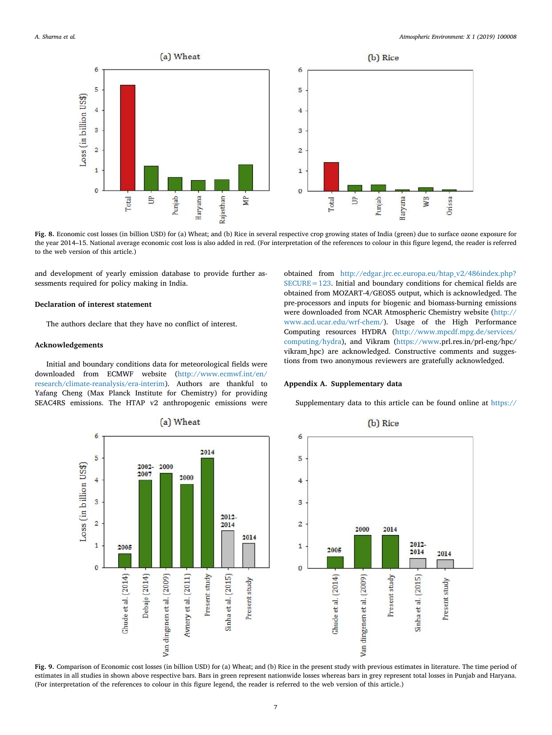

Fig. 8. Economic cost losses (in billion USD) for (a) Wheat; and (b) Rice in several respective crop growing states of India (green) due to surface ozone exposure for the year 2014–15. National average economic cost loss is also added in red. (For interpretation of the references to colour in this figure legend, the reader is referred to the web version of this article.)

and development of yearly emission database to provide further assessments required for policy making in India.

## Declaration of interest statement

The authors declare that they have no conflict of interest.

### Acknowledgements

Initial and boundary conditions data for meteorological fields were downloaded from ECMWF website (http://www.ecmwf.int/en/ research/climate-reanalysis/era-interim). Authors are thankful to Yafang Cheng (Max Planck Institute for Chemistry) for providing SEAC4RS emissions. The HTAP v2 anthropogenic emissions were

obtained from http://edgar.jrc.ec.europa.eu/htap\_v2/486index.php?  $SECURE = 123$ . Initial and boundary conditions for chemical fields are obtained from MOZART-4/GEOS5 output, which is acknowledged. The pre-processors and inputs for biogenic and biomass-burning emissions were downloaded from NCAR Atmospheric Chemistry website (http:// www.acd.ucar.edu/wrf-chem/). Usage of the High Performance Computing resources HYDRA (http://www.mpcdf.mpg.de/services/ computing/hydra), and Vikram (https://www.prl.res.in/prl-eng/hpc/ vikram\_hpc) are acknowledged. Constructive comments and suggestions from two anonymous reviewers are gratefully acknowledged.

#### Appendix A. Supplementary data

Supplementary data to this article can be found online at https://



Fig. 9. Comparison of Economic cost losses (in billion USD) for (a) Wheat; and (b) Rice in the present study with previous estimates in literature. The time period of estimates in all studies in shown above respective bars. Bars in green represent nationwide losses whereas bars in grey represent total losses in Punjab and Haryana. (For interpretation of the references to colour in this figure legend, the reader is referred to the web version of this article.)